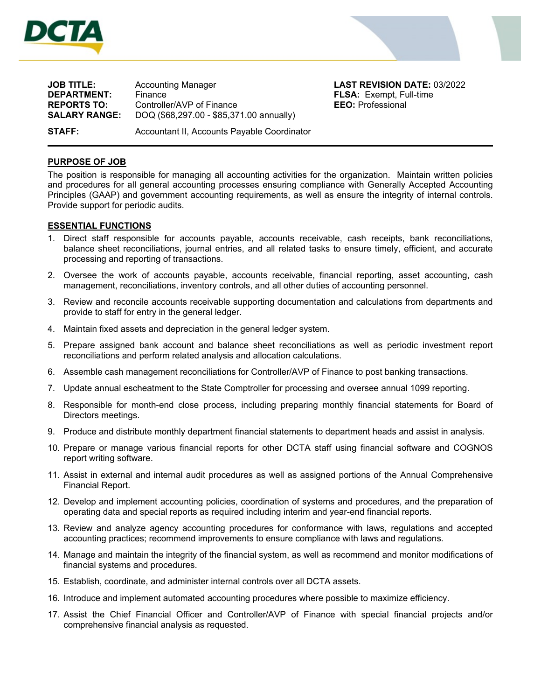

L



**JOB TITLE:** Accounting Manager **LAST REVISION DATE:** 03/2022 **DEPARTMENT:** Finance **FLSA:** Exempt, Full-time **REPORTS TO:** Controller/AVP of Finance **EEO:** Professional **SALARY RANGE:** DOQ (\$68,297.00 - \$85,371.00 annually) **STAFF:** Accountant II, Accounts Payable Coordinator

## **PURPOSE OF JOB**

The position is responsible for managing all accounting activities for the organization. Maintain written policies and procedures for all general accounting processes ensuring compliance with Generally Accepted Accounting Principles (GAAP) and government accounting requirements, as well as ensure the integrity of internal controls. Provide support for periodic audits.

## **ESSENTIAL FUNCTIONS**

- 1. Direct staff responsible for accounts payable, accounts receivable, cash receipts, bank reconciliations, balance sheet reconciliations, journal entries, and all related tasks to ensure timely, efficient, and accurate processing and reporting of transactions.
- 2. Oversee the work of accounts payable, accounts receivable, financial reporting, asset accounting, cash management, reconciliations, inventory controls, and all other duties of accounting personnel.
- 3. Review and reconcile accounts receivable supporting documentation and calculations from departments and provide to staff for entry in the general ledger.
- 4. Maintain fixed assets and depreciation in the general ledger system.
- 5. Prepare assigned bank account and balance sheet reconciliations as well as periodic investment report reconciliations and perform related analysis and allocation calculations.
- 6. Assemble cash management reconciliations for Controller/AVP of Finance to post banking transactions.
- 7. Update annual escheatment to the State Comptroller for processing and oversee annual 1099 reporting.
- 8. Responsible for month-end close process, including preparing monthly financial statements for Board of Directors meetings.
- 9. Produce and distribute monthly department financial statements to department heads and assist in analysis.
- 10. Prepare or manage various financial reports for other DCTA staff using financial software and COGNOS report writing software.
- 11. Assist in external and internal audit procedures as well as assigned portions of the Annual Comprehensive Financial Report.
- 12. Develop and implement accounting policies, coordination of systems and procedures, and the preparation of operating data and special reports as required including interim and year-end financial reports.
- 13. Review and analyze agency accounting procedures for conformance with laws, regulations and accepted accounting practices; recommend improvements to ensure compliance with laws and regulations.
- 14. Manage and maintain the integrity of the financial system, as well as recommend and monitor modifications of financial systems and procedures.
- 15. Establish, coordinate, and administer internal controls over all DCTA assets.
- 16. Introduce and implement automated accounting procedures where possible to maximize efficiency.
- 17. Assist the Chief Financial Officer and Controller/AVP of Finance with special financial projects and/or comprehensive financial analysis as requested.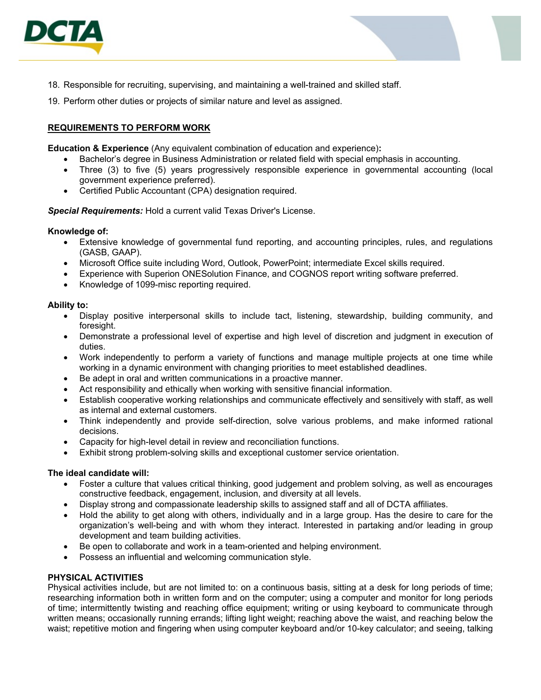

- 18. Responsible for recruiting, supervising, and maintaining a well-trained and skilled staff.
- 19. Perform other duties or projects of similar nature and level as assigned.

# **REQUIREMENTS TO PERFORM WORK**

**Education & Experience** (Any equivalent combination of education and experience)**:** 

- Bachelor's degree in Business Administration or related field with special emphasis in accounting.
- Three (3) to five (5) years progressively responsible experience in governmental accounting (local government experience preferred).
- Certified Public Accountant (CPA) designation required.

*Special Requirements:* Hold a current valid Texas Driver's License.

#### **Knowledge of:**

- Extensive knowledge of governmental fund reporting, and accounting principles, rules, and regulations (GASB, GAAP).
- Microsoft Office suite including Word, Outlook, PowerPoint; intermediate Excel skills required.
- Experience with Superion ONESolution Finance, and COGNOS report writing software preferred.
- Knowledge of 1099-misc reporting required.

#### **Ability to:**

- Display positive interpersonal skills to include tact, listening, stewardship, building community, and foresight.
- Demonstrate a professional level of expertise and high level of discretion and judgment in execution of duties.
- Work independently to perform a variety of functions and manage multiple projects at one time while working in a dynamic environment with changing priorities to meet established deadlines.
- Be adept in oral and written communications in a proactive manner.
- Act responsibility and ethically when working with sensitive financial information.
- Establish cooperative working relationships and communicate effectively and sensitively with staff, as well as internal and external customers.
- Think independently and provide self-direction, solve various problems, and make informed rational decisions.
- Capacity for high-level detail in review and reconciliation functions.
- Exhibit strong problem-solving skills and exceptional customer service orientation.

#### **The ideal candidate will:**

- Foster a culture that values critical thinking, good judgement and problem solving, as well as encourages constructive feedback, engagement, inclusion, and diversity at all levels.
- Display strong and compassionate leadership skills to assigned staff and all of DCTA affiliates.
- Hold the ability to get along with others, individually and in a large group. Has the desire to care for the organization's well-being and with whom they interact. Interested in partaking and/or leading in group development and team building activities.
- Be open to collaborate and work in a team-oriented and helping environment.
- Possess an influential and welcoming communication style.

#### **PHYSICAL ACTIVITIES**

Physical activities include, but are not limited to: on a continuous basis, sitting at a desk for long periods of time; researching information both in written form and on the computer; using a computer and monitor for long periods of time; intermittently twisting and reaching office equipment; writing or using keyboard to communicate through written means; occasionally running errands; lifting light weight; reaching above the waist, and reaching below the waist; repetitive motion and fingering when using computer keyboard and/or 10-key calculator; and seeing, talking